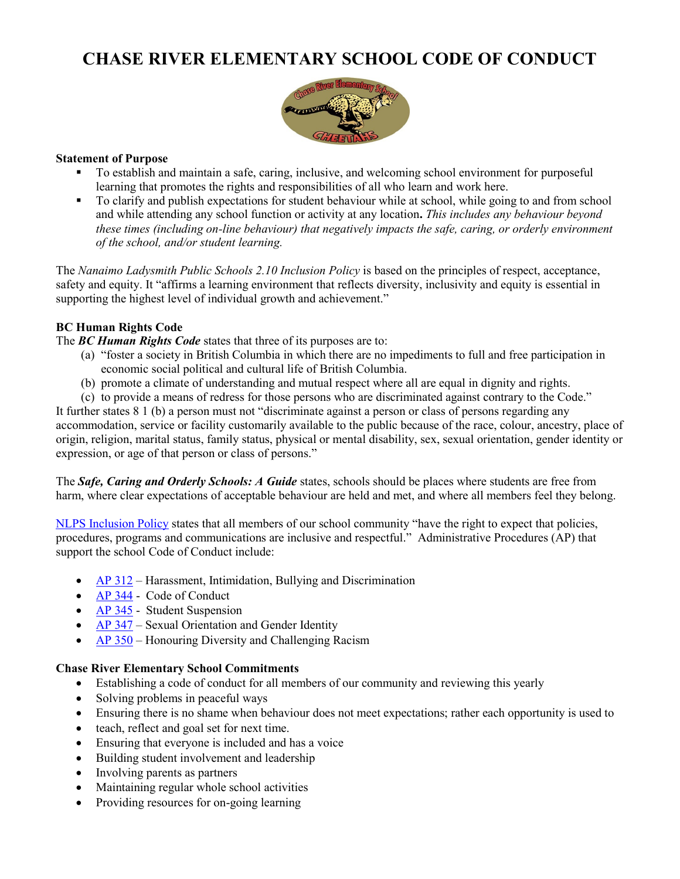# **CHASE RIVER ELEMENTARY SCHOOL CODE OF CONDUCT**



#### **Statement of Purpose**

- To establish and maintain a safe, caring, inclusive, and welcoming school environment for purposeful learning that promotes the rights and responsibilities of all who learn and work here.
- To clarify and publish expectations for student behaviour while at school, while going to and from school and while attending any school function or activity at any location**.** *This includes any behaviour beyond these times (including on-line behaviour) that negatively impacts the safe, caring, or orderly environment of the school, and/or student learning.*

The *Nanaimo Ladysmith Public Schools 2.10 Inclusion Policy* is based on the principles of respect, acceptance, safety and equity. It "affirms a learning environment that reflects diversity, inclusivity and equity is essential in supporting the highest level of individual growth and achievement."

# **BC Human Rights Code**

The *BC Human Rights Code* states that three of its purposes are to:

- (a) "foster a society in British Columbia in which there are no impediments to full and free participation in economic social political and cultural life of British Columbia.
- (b) promote a climate of understanding and mutual respect where all are equal in dignity and rights.
- (c) to provide a means of redress for those persons who are discriminated against contrary to the Code."

It further states 8 1 (b) a person must not "discriminate against a person or class of persons regarding any accommodation, service or facility customarily available to the public because of the race, colour, ancestry, place of origin, religion, marital status, family status, physical or mental disability, sex, sexual orientation, gender identity or expression, or age of that person or class of persons."

The *Safe, Caring and Orderly Schools: A Guide* states, schools should be places where students are free from harm, where clear expectations of acceptable behaviour are held and met, and where all members feel they belong.

[NLPS Inclusion Policy](https://www.sd68.bc.ca/wp-content/uploads/Policy/2.0/2.10-Inclusion-Policy-.pdf) states that all members of our school community "have the right to expect that policies, procedures, programs and communications are inclusive and respectful." Administrative Procedures (AP) that support the school Code of Conduct include:

- [AP 312](https://www.sd68.bc.ca/documents/2017/01/ap-312-harassment-intimidation-and-bullying-student.pdf/) Harassment, Intimidation, Bullying and Discrimination
- [AP 344](https://www.sd68.bc.ca/wp-content/uploads/Administrative-Procedures/300/AP-344-Code-of-Conduct.pdf) Code of Conduct
- $\triangle$  [AP 345](https://www.sd68.bc.ca/wp-content/uploads/Administrative-Procedures/300/AP-345-Student-Suspension.pdf) Student Suspension
- $\overrightarrow{AP\,347}$  Sexual Orientation and Gender Identity
- [AP 350](https://www.sd68.bc.ca/documents/2017/01/ap-350-honouring-diversity-and-challenging-racism.pdf/) Honouring Diversity and Challenging Racism

#### **Chase River Elementary School Commitments**

- Establishing a code of conduct for all members of our community and reviewing this yearly
- Solving problems in peaceful ways
- Ensuring there is no shame when behaviour does not meet expectations; rather each opportunity is used to
- teach, reflect and goal set for next time.
- Ensuring that everyone is included and has a voice
- Building student involvement and leadership
- Involving parents as partners
- Maintaining regular whole school activities
- Providing resources for on-going learning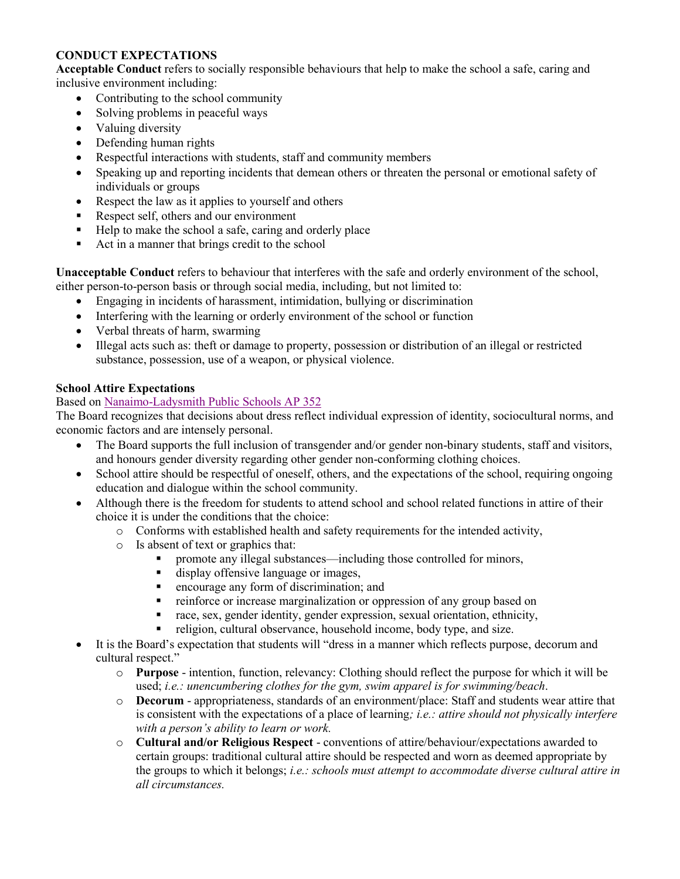# **CONDUCT EXPECTATIONS**

**Acceptable Conduct** refers to socially responsible behaviours that help to make the school a safe, caring and inclusive environment including:

- Contributing to the school community
- Solving problems in peaceful ways
- Valuing diversity
- Defending human rights
- Respectful interactions with students, staff and community members
- Speaking up and reporting incidents that demean others or threaten the personal or emotional safety of individuals or groups
- Respect the law as it applies to yourself and others
- Respect self, others and our environment
- Help to make the school a safe, caring and orderly place
- Act in a manner that brings credit to the school

**Unacceptable Conduct** refers to behaviour that interferes with the safe and orderly environment of the school, either person-to-person basis or through social media, including, but not limited to:

- Engaging in incidents of harassment, intimidation, bullying or discrimination
- Interfering with the learning or orderly environment of the school or function
- Verbal threats of harm, swarming
- Illegal acts such as: theft or damage to property, possession or distribution of an illegal or restricted substance, possession, use of a weapon, or physical violence.

## **School Attire Expectations**

## Based on [Nanaimo-Ladysmith Public Schools AP 352](https://www.sd68.bc.ca/wp-content/uploads/Administrative-Procedures/300/AP-352-School-Attire-Expectations.pdf)

The Board recognizes that decisions about dress reflect individual expression of identity, sociocultural norms, and economic factors and are intensely personal.

- The Board supports the full inclusion of transgender and/or gender non-binary students, staff and visitors, and honours gender diversity regarding other gender non-conforming clothing choices.
- School attire should be respectful of oneself, others, and the expectations of the school, requiring ongoing education and dialogue within the school community.
- Although there is the freedom for students to attend school and school related functions in attire of their choice it is under the conditions that the choice:
	- o Conforms with established health and safety requirements for the intended activity,
	- o Is absent of text or graphics that:
		- promote any illegal substances—including those controlled for minors,
		- display offensive language or images,
		- **Exercise** any form of discrimination; and
		- reinforce or increase marginalization or oppression of any group based on
		- race, sex, gender identity, gender expression, sexual orientation, ethnicity,
		- religion, cultural observance, household income, body type, and size.
- It is the Board's expectation that students will "dress in a manner which reflects purpose, decorum and cultural respect."
	- o **Purpose**  intention, function, relevancy: Clothing should reflect the purpose for which it will be used; *i.e.: unencumbering clothes for the gym, swim apparel is for swimming/beach*.
	- o **Decorum**  appropriateness, standards of an environment/place: Staff and students wear attire that is consistent with the expectations of a place of learning*; i.e.: attire should not physically interfere with a person's ability to learn or work.*
	- o **Cultural and/or Religious Respect**  conventions of attire/behaviour/expectations awarded to certain groups: traditional cultural attire should be respected and worn as deemed appropriate by the groups to which it belongs; *i.e.: schools must attempt to accommodate diverse cultural attire in all circumstances.*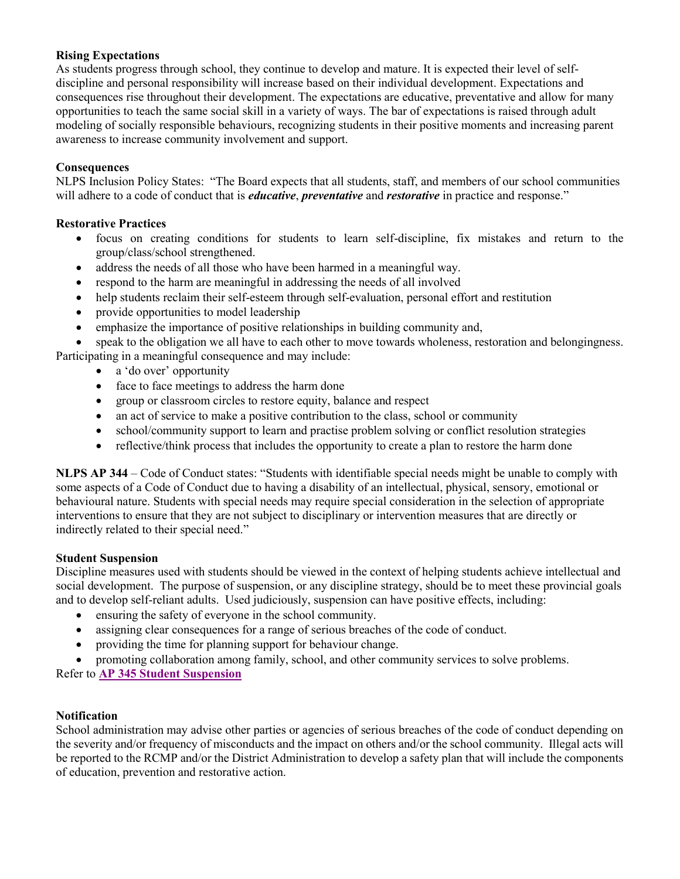## **Rising Expectations**

As students progress through school, they continue to develop and mature. It is expected their level of selfdiscipline and personal responsibility will increase based on their individual development. Expectations and consequences rise throughout their development. The expectations are educative, preventative and allow for many opportunities to teach the same social skill in a variety of ways. The bar of expectations is raised through adult modeling of socially responsible behaviours, recognizing students in their positive moments and increasing parent awareness to increase community involvement and support.

## **Consequences**

NLPS Inclusion Policy States: "The Board expects that all students, staff, and members of our school communities will adhere to a code of conduct that is *educative*, *preventative* and *restorative* in practice and response."

#### **Restorative Practices**

- focus on creating conditions for students to learn self-discipline, fix mistakes and return to the group/class/school strengthened.
- address the needs of all those who have been harmed in a meaningful way.
- respond to the harm are meaningful in addressing the needs of all involved
- help students reclaim their self-esteem through self-evaluation, personal effort and restitution
- provide opportunities to model leadership
- emphasize the importance of positive relationships in building community and,

 speak to the obligation we all have to each other to move towards wholeness, restoration and belongingness. Participating in a meaningful consequence and may include:

- a 'do over' opportunity
- face to face meetings to address the harm done
- group or classroom circles to restore equity, balance and respect
- an act of service to make a positive contribution to the class, school or community
- school/community support to learn and practise problem solving or conflict resolution strategies
- reflective/think process that includes the opportunity to create a plan to restore the harm done

**NLPS AP 344** – Code of Conduct states: "Students with identifiable special needs might be unable to comply with some aspects of a Code of Conduct due to having a disability of an intellectual, physical, sensory, emotional or behavioural nature. Students with special needs may require special consideration in the selection of appropriate interventions to ensure that they are not subject to disciplinary or intervention measures that are directly or indirectly related to their special need."

## **Student Suspension**

Discipline measures used with students should be viewed in the context of helping students achieve intellectual and social development. The purpose of suspension, or any discipline strategy, should be to meet these provincial goals and to develop self-reliant adults. Used judiciously, suspension can have positive effects, including:

- ensuring the safety of everyone in the school community.
- assigning clear consequences for a range of serious breaches of the code of conduct.
- providing the time for planning support for behaviour change.
- promoting collaboration among family, school, and other community services to solve problems.

Refer to **[AP 345 Student Suspension](https://www.sd68.bc.ca/wp-content/uploads/Administrative-Procedures/300/AP-345-Student-Suspension.pdf)**

## **Notification**

School administration may advise other parties or agencies of serious breaches of the code of conduct depending on the severity and/or frequency of misconducts and the impact on others and/or the school community. Illegal acts will be reported to the RCMP and/or the District Administration to develop a safety plan that will include the components of education, prevention and restorative action.